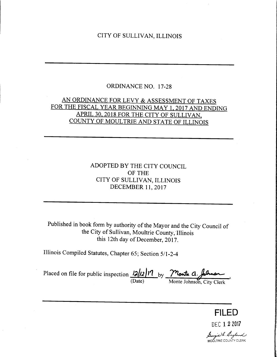## CITY OF SULLIVAN, ILLINOIS

## ORDINANCE NO. 17-28

# AN ORDINANCE FOR LEVY & ASSESSMENT OF TAXES FOR THE FISCAL YEAR BEGINNING MAY 1, 2017 AND ENDING APRIL 30, 2018 FOR THE CITY OF SULLIVAN COUNTY OF MOULTRIE AND STATE OF ILLINOIS

# ADOPTED BY THE CITY COUNCIL OF THE CITY OF SULLIVAN, ILLINOIS DECEMBER 11, 2017

Published in book form by authority of the Mayor and the City Council of the City of Sullivan, Moultrie County, Illinois this 12th day of December, 2017.

Illinois Compiled Statutes, Chapter 65; Section 5/1-2-4

Placed on file for public inspection  $\frac{12}{12}$   $\frac{17}{10}$  by  $\frac{7}{10}$  but  $\alpha$ . Date) Monte Johnson, City Clerk

FILED DEC 1 2 2017

*Leongia* de England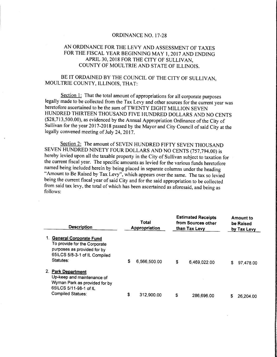#### ORDINANCE NO. 17-28

### AN ORDINANCE FOR THE LEVY AND ASSESSMENT OF TAXES FOR THE FISCAL YEAR BEGINNING MAY 1, 2017 AND ENDING APRIL 30, 2018 FOR THE CITY OF SULLIVAN, COUNTY OF MOULTRIE AND STATE OF ILLINOIS.

### BE IT ORDAINED BY THE COUNCIL OF THE CITY OF SULLIVAN, MOULTRIE COUNTY, ILLINOIS, THAT:

Section 1: That the total amount of appropriations for all corporate purposes legally made to be collected from the Tax Levy and other sources for the current year was heretofore ascertained to be the sum of TWENTY EIGHT MILLION SEVEN HUNDRED THIRTEEN THOUSAND FIVE HUNDRED DOLLARS AND NO CENTS 28, 713, 500. 00), as evidenced by the Annual Appropriation Ordinance of the City of Sullivan for the year 2017-2018 passed by the Mayor and City Council of said City at the legally convened meeting of July 24, 2017.

Section 2: The amount of SEVEN HUNDRED FIFTY SEVEN THOUSAND SEVEN HUNDRED NINETY FOUR DOLLARS AND NO CENTS (757,794.00) is hereby levied upon all the taxable property in the City of Sullivan subject to taxation for the current fiscal year. The specific amounts as levied for the various funds heretofore named being included herein by being placed in separate columns under the heading "Amount to Be Raised by Tax Levy", which appears over the same. The tax so levied being the current fiscal year of said City and for the said appropriation to be collected from said tax levy, the total of which has been ascertained as aforesaid, and being as follows:

| <b>Description</b>                                                                                                                         |    | Total<br><b>Appropriation</b> |    | <b>Estimated Receipts</b><br>from Sources other<br>than Tax Levy |   | Amount to<br>be Raised<br>by Tax Levy |  |
|--------------------------------------------------------------------------------------------------------------------------------------------|----|-------------------------------|----|------------------------------------------------------------------|---|---------------------------------------|--|
| <b>General Corporate Fund</b><br>To provide for the Corporate<br>purposes as provided for by<br>65ILCS 5/8-3-1 of IL Compiled<br>Statutes: | \$ | 6,566,500.00                  | \$ | 6,469,022.00                                                     | S | 97,478.00                             |  |
| 2. Park Department<br>Up-keep and maintenance of<br>Wyman Park as provided for by<br>65ILCS 5/11-98-1 of IL<br>Compiled Statues:           | S  | 312,900.00                    |    |                                                                  |   |                                       |  |
|                                                                                                                                            |    |                               | \$ | 286,696,00                                                       |   | 26,204.00                             |  |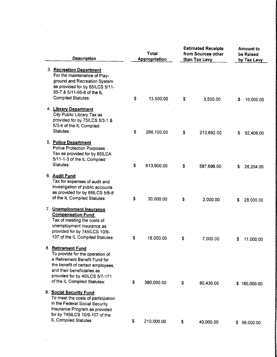|  |                                                                                                                                                                                        | <b>Description</b>                                                                                                                                                                                                          | <b>Total</b><br><b>Appropriation</b> |            | <b>Estimated Receipts</b><br>from Sources other<br>than Tax Levy |            | <b>Amount to</b><br>be Raised<br>by Tax Levy |              |
|--|----------------------------------------------------------------------------------------------------------------------------------------------------------------------------------------|-----------------------------------------------------------------------------------------------------------------------------------------------------------------------------------------------------------------------------|--------------------------------------|------------|------------------------------------------------------------------|------------|----------------------------------------------|--------------|
|  | 3. Recreation Department<br>For the maintenance of Play-<br>ground and Recreation System<br>as provided for by 65ILCS 5/11-<br>95-7 & 5/11-95-8 of the IL<br><b>Compiled Statutes:</b> | \$                                                                                                                                                                                                                          | 13,500.00                            | \$         | 3,500.00                                                         | \$         | 10,000.00                                    |              |
|  |                                                                                                                                                                                        | 4. Library Department<br>City Public Library Tax as<br>provided for by 75ILCS 5/3-1 &<br>5/3-4 of the IL Compiled<br>Statutes:                                                                                              | \$                                   | 266,100.00 | \$                                                               | 213,692.00 | S.                                           | 52,408.00    |
|  |                                                                                                                                                                                        | 5. Police Department<br><b>Police Protection Purposes</b><br>Tax as provided for by 65ILCA<br>5/11-1-3 of the IL Compiled<br>Statutes:                                                                                      | \$                                   | 613,900.00 | \$                                                               | 587,696.00 | S                                            | 26,204.00    |
|  |                                                                                                                                                                                        | 6. Audit Fund<br>Tax for expenses of audit and<br>investigation of public accounts<br>as provided for by 65ILCS 5/8-8<br>of the IL Compiled Statutes:                                                                       | \$                                   | 30,000.00  | \$                                                               | 2,000.00   | \$                                           | 28,000.00    |
|  |                                                                                                                                                                                        | 7. Unemployment Insurance<br><b>Compensation Fund</b><br>Tax of meeting the costs of<br>unemployment insurance as<br>provided for by 745ILCS 10/9-<br>107 of the IL Compiled Statutes:                                      | \$                                   | 18,000.00  | \$                                                               | 7,000.00   | \$                                           | 11,000.00    |
|  |                                                                                                                                                                                        | 8. Retirement Fund<br>To provide for the operation of<br>a Retirement Benefit Fund for<br>the benefit of certain employees,<br>and their beneficiaries as<br>provided for by 40ILCS 5/7-171<br>of the IL Compiled Statutes: | \$                                   | 380,000.00 | \$                                                               | 80,430.00  |                                              | \$180,000.00 |
|  |                                                                                                                                                                                        | 9. Social Security Fund<br>To meet the costs of participation<br>in the Federal Social Security<br>Insurance Program as provided<br>for by 745ILCS 10/9-107 of the                                                          |                                      |            |                                                                  |            |                                              |              |
|  |                                                                                                                                                                                        | IL Compiled Statutes:                                                                                                                                                                                                       | \$.                                  | 210,000.00 | \$                                                               | 40,000.00  |                                              | \$98,000.00  |

 $\label{eq:2.1} \frac{1}{\sqrt{2}}\int_{0}^{\infty}\frac{1}{\sqrt{2\pi}}\left(\frac{1}{\sqrt{2\pi}}\right)^{2}d\mu\int_{0}^{\infty}\frac{1}{\sqrt{2\pi}}\left(\frac{1}{\sqrt{2\pi}}\right)^{2}d\mu\int_{0}^{\infty}\frac{1}{\sqrt{2\pi}}\frac{1}{\sqrt{2\pi}}\frac{1}{\sqrt{2\pi}}\frac{1}{\sqrt{2\pi}}\frac{1}{\sqrt{2\pi}}\frac{1}{\sqrt{2\pi}}\frac{1}{\sqrt{2\pi}}\frac{1}{\sqrt{2\pi}}\frac{1}{\sqrt{$ 

 $\mathcal{L}^{\text{max}}_{\text{max}}$  and  $\mathcal{L}^{\text{max}}_{\text{max}}$ 

 $\mathcal{L}^{\text{max}}_{\text{max}}$  , where  $\mathcal{L}^{\text{max}}_{\text{max}}$ 

 $\label{eq:2} \frac{1}{\sqrt{2}}\sum_{i=1}^n\frac{1}{\sqrt{2}}\sum_{i=1}^n\frac{1}{\sqrt{2}}\sum_{i=1}^n\frac{1}{\sqrt{2}}\sum_{i=1}^n\frac{1}{\sqrt{2}}\sum_{i=1}^n\frac{1}{\sqrt{2}}\sum_{i=1}^n\frac{1}{\sqrt{2}}\sum_{i=1}^n\frac{1}{\sqrt{2}}\sum_{i=1}^n\frac{1}{\sqrt{2}}\sum_{i=1}^n\frac{1}{\sqrt{2}}\sum_{i=1}^n\frac{1}{\sqrt{2}}\sum_{i=1}^n\frac{1$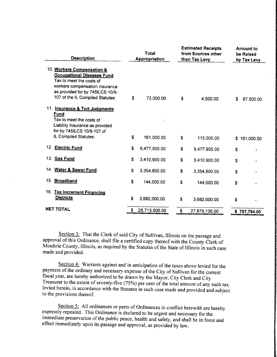| <b>Description</b>                                                                                                                                                                                    |    | Total<br><b>Appropriation</b> |    | <b>Estimated Receipts</b><br>from Sources other<br>than Tax Levy |    | <b>Amount to</b><br>be Raised<br>by Tax Levy |  |
|-------------------------------------------------------------------------------------------------------------------------------------------------------------------------------------------------------|----|-------------------------------|----|------------------------------------------------------------------|----|----------------------------------------------|--|
| 10. Workers Compensation &<br><b>Occupational Diseases Fund</b><br>Tax to meet the costs of<br>workers compensation insurance<br>as provided for by 745ILCS 10/9-<br>107 of the IL Compiled Statutes: | \$ | 72,000.00                     | S. | 4,500.00                                                         | \$ | 67,500.00                                    |  |
| 11. Insurance & Tort Judgments<br><u>Fund</u><br>Tax to meet the costs of<br>Liability Insurance as provided<br>for by 745ILCS 10/9-107 of<br>IL Compiled Statutes:                                   | \$ | 161,000.00                    | \$ | 115,000.00                                                       | \$ | 161,000.00                                   |  |
| 12. Electric Fund                                                                                                                                                                                     | \$ | 9,477,900.00                  | \$ | 9,477,900.00                                                     | \$ |                                              |  |
| 13. Gas Fund                                                                                                                                                                                          | \$ | 3,410,900.00                  | \$ | 3,410,900.00                                                     | \$ |                                              |  |
| 14. Water & Sewer Fund                                                                                                                                                                                | \$ | 3,354,800.00                  | \$ | 3,354,800.00                                                     | \$ |                                              |  |
| 15. Broadband                                                                                                                                                                                         | \$ | 144,000.00                    | \$ | 144,000.00                                                       | \$ |                                              |  |
| 16. Tax Increment Financing<br><b>Districts</b>                                                                                                                                                       | \$ | 3,682,000.00                  | \$ | 3,682,000.00                                                     | S  |                                              |  |
| <b>NET TOTAL</b>                                                                                                                                                                                      | \$ | 28,713,500.00                 | \$ | 27,879,136.00                                                    |    | \$757,794.00                                 |  |

Section 3: That the Clerk of said City of Sullivan, Illinois on the passage and approval of this Ordinance, shall file <sup>a</sup> certified copy thereof with the County Clerk of Moultrie County, Illinois, as required by the Statutes of the State of Illinois in such case made and provided.

Section 4: Warrants against and in anticipation of the taxes above levied for the payment of the ordinary and necessary expense of the City of Sullivan for the current fiscal year, are hereby authorized to be drawn by the Mayor, City Clerk and City Treasurer to the extent of seventy-five (75%) per cent of the total amount of any such tax levied herein, in accordance with the Statutes in such case made and provided and subject to the provisions thereof.

Section 5: All ordinances or parts of Ordinances in conflict herewith are hereby expressly repealed. This Ordinance is declared to be urgent and necessary for the immediate preservation of the public peace, health and safety, and shall be in force and effect immediately upon its passage and approval, as provided by law.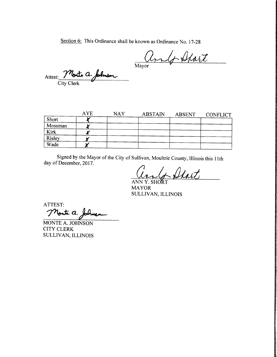Section 6: This Ordinance shall be known as Ordinance No. 17-28

and Start

Attest: Monte a. Johnson City Clerk

|         | <b>AYE</b> | <b>NAY</b> | <b>ABSTAIN</b> | ABSENT | <b>CONFLICT</b> |
|---------|------------|------------|----------------|--------|-----------------|
| Short   |            |            |                |        |                 |
| Mossman |            |            |                |        |                 |
| Kirk    |            |            |                |        |                 |
| Risley  |            |            |                |        |                 |
| Wade    |            |            |                |        |                 |

Signed by the Mayor of the City of Sullivan, Moultrie County, Illinois this 11th day of December, 2017.

Cang Start

MAYOR SULLIVAN, ILLINOIS

ATTEST: Monte a. Johns

MONTE A. JOHNSON CITY CLERK SULLIVAN, ILLINOIS